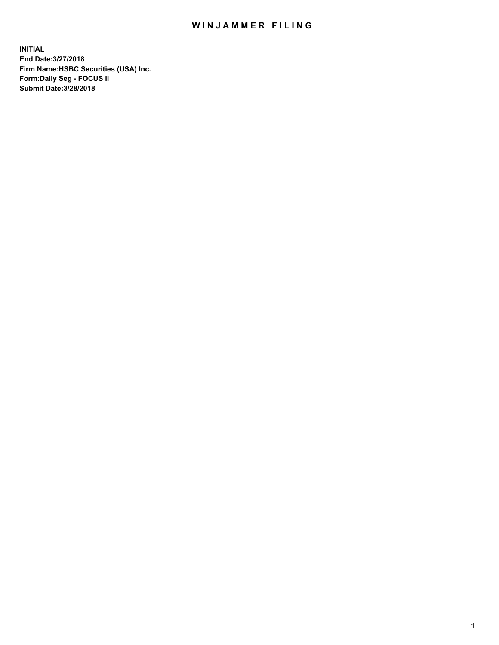## WIN JAMMER FILING

**INITIAL End Date:3/27/2018 Firm Name:HSBC Securities (USA) Inc. Form:Daily Seg - FOCUS II Submit Date:3/28/2018**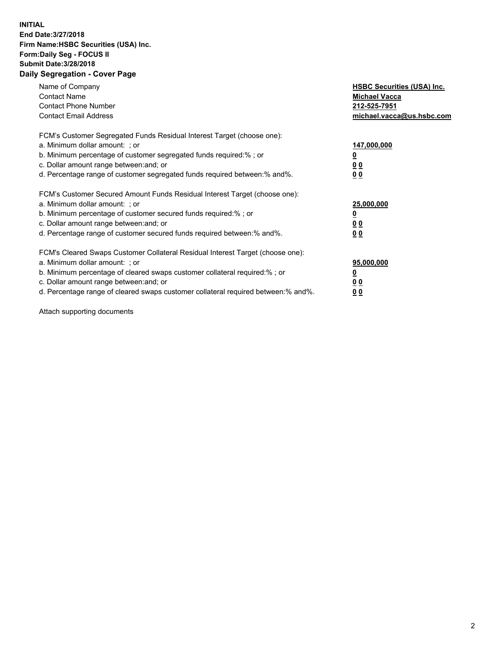## **INITIAL End Date:3/27/2018 Firm Name:HSBC Securities (USA) Inc. Form:Daily Seg - FOCUS II Submit Date:3/28/2018 Daily Segregation - Cover Page**

| Name of Company<br><b>Contact Name</b><br><b>Contact Phone Number</b><br><b>Contact Email Address</b>                                                                                                                                                                                                                          | <b>HSBC Securities (USA) Inc.</b><br><b>Michael Vacca</b><br>212-525-7951<br>michael.vacca@us.hsbc.com |
|--------------------------------------------------------------------------------------------------------------------------------------------------------------------------------------------------------------------------------------------------------------------------------------------------------------------------------|--------------------------------------------------------------------------------------------------------|
| FCM's Customer Segregated Funds Residual Interest Target (choose one):<br>a. Minimum dollar amount: ; or<br>b. Minimum percentage of customer segregated funds required:%; or<br>c. Dollar amount range between: and; or<br>d. Percentage range of customer segregated funds required between: % and %.                        | 147,000,000<br><u>0</u><br><u>00</u><br>0 <sub>0</sub>                                                 |
| FCM's Customer Secured Amount Funds Residual Interest Target (choose one):<br>a. Minimum dollar amount: ; or<br>b. Minimum percentage of customer secured funds required:%; or<br>c. Dollar amount range between: and; or<br>d. Percentage range of customer secured funds required between:% and%.                            | 25,000,000<br><u>0</u><br><u>00</u><br>00                                                              |
| FCM's Cleared Swaps Customer Collateral Residual Interest Target (choose one):<br>a. Minimum dollar amount: ; or<br>b. Minimum percentage of cleared swaps customer collateral required:% ; or<br>c. Dollar amount range between: and; or<br>d. Percentage range of cleared swaps customer collateral required between:% and%. | 95,000,000<br><u>0</u><br><u>00</u><br><u>00</u>                                                       |

Attach supporting documents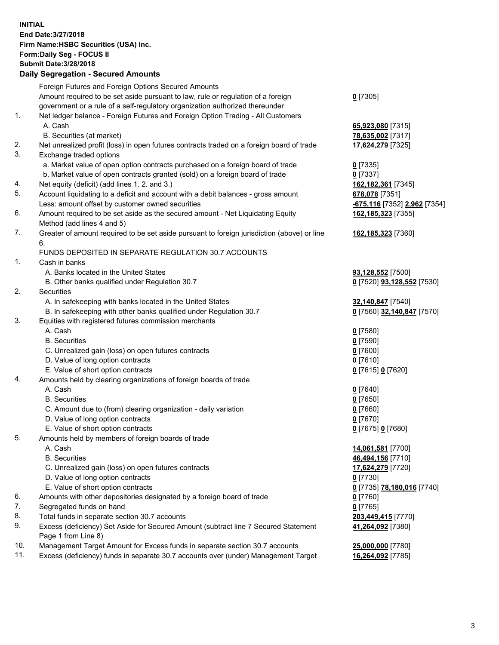**INITIAL End Date:3/27/2018 Firm Name:HSBC Securities (USA) Inc. Form:Daily Seg - FOCUS II Submit Date:3/28/2018 Daily Segregation - Secured Amounts**

|     | Foreign Futures and Foreign Options Secured Amounts                                         |                              |
|-----|---------------------------------------------------------------------------------------------|------------------------------|
|     | Amount required to be set aside pursuant to law, rule or regulation of a foreign            | $0$ [7305]                   |
|     | government or a rule of a self-regulatory organization authorized thereunder                |                              |
| 1.  | Net ledger balance - Foreign Futures and Foreign Option Trading - All Customers             |                              |
|     | A. Cash                                                                                     | 65,923,080 [7315]            |
|     | B. Securities (at market)                                                                   | 78,635,002 [7317]            |
| 2.  | Net unrealized profit (loss) in open futures contracts traded on a foreign board of trade   | 17,624,279 [7325]            |
| 3.  | Exchange traded options                                                                     |                              |
|     | a. Market value of open option contracts purchased on a foreign board of trade              | $0$ [7335]                   |
|     | b. Market value of open contracts granted (sold) on a foreign board of trade                | $0$ [7337]                   |
| 4.  | Net equity (deficit) (add lines 1.2. and 3.)                                                | 162,182,361 [7345]           |
| 5.  | Account liquidating to a deficit and account with a debit balances - gross amount           | 678,078 [7351]               |
|     | Less: amount offset by customer owned securities                                            | -675,116 [7352] 2,962 [7354] |
| 6.  | Amount required to be set aside as the secured amount - Net Liquidating Equity              | 162,185,323 [7355]           |
|     | Method (add lines 4 and 5)                                                                  |                              |
| 7.  | Greater of amount required to be set aside pursuant to foreign jurisdiction (above) or line | 162,185,323 [7360]           |
|     | 6.                                                                                          |                              |
|     | FUNDS DEPOSITED IN SEPARATE REGULATION 30.7 ACCOUNTS                                        |                              |
| 1.  | Cash in banks                                                                               |                              |
|     | A. Banks located in the United States                                                       | 93,128,552 [7500]            |
|     | B. Other banks qualified under Regulation 30.7                                              | 0 [7520] 93,128,552 [7530]   |
| 2.  | Securities                                                                                  |                              |
|     | A. In safekeeping with banks located in the United States                                   | 32,140,847 [7540]            |
|     | B. In safekeeping with other banks qualified under Regulation 30.7                          | 0 [7560] 32,140,847 [7570]   |
| 3.  | Equities with registered futures commission merchants                                       |                              |
|     | A. Cash                                                                                     | $0$ [7580]                   |
|     | <b>B.</b> Securities                                                                        | $0$ [7590]                   |
|     | C. Unrealized gain (loss) on open futures contracts                                         | $0$ [7600]                   |
|     | D. Value of long option contracts                                                           | $0$ [7610]                   |
|     | E. Value of short option contracts                                                          | 0 [7615] 0 [7620]            |
| 4.  | Amounts held by clearing organizations of foreign boards of trade                           |                              |
|     | A. Cash                                                                                     | $0$ [7640]                   |
|     | <b>B.</b> Securities                                                                        | $0$ [7650]                   |
|     | C. Amount due to (from) clearing organization - daily variation                             | $0$ [7660]                   |
|     | D. Value of long option contracts                                                           | $0$ [7670]                   |
|     | E. Value of short option contracts                                                          | 0 [7675] 0 [7680]            |
| 5.  | Amounts held by members of foreign boards of trade                                          |                              |
|     | A. Cash                                                                                     | 14,061,581 [7700]            |
|     | <b>B.</b> Securities                                                                        | 46,494,156 [7710]            |
|     | C. Unrealized gain (loss) on open futures contracts                                         | 17,624,279 [7720]            |
|     | D. Value of long option contracts                                                           | $0$ [7730]                   |
|     | E. Value of short option contracts                                                          | 0 [7735] 78,180,016 [7740]   |
| 6.  | Amounts with other depositories designated by a foreign board of trade                      | $0$ [7760]                   |
| 7.  | Segregated funds on hand                                                                    | $0$ [7765]                   |
| 8.  | Total funds in separate section 30.7 accounts                                               | 203,449,415 [7770]           |
| 9.  | Excess (deficiency) Set Aside for Secured Amount (subtract line 7 Secured Statement         | 41,264,092 [7380]            |
|     | Page 1 from Line 8)                                                                         |                              |
| 10. | Management Target Amount for Excess funds in separate section 30.7 accounts                 | 25,000,000 [7780]            |
| 11. | Excess (deficiency) funds in separate 30.7 accounts over (under) Management Target          | 16,264,092 [7785]            |
|     |                                                                                             |                              |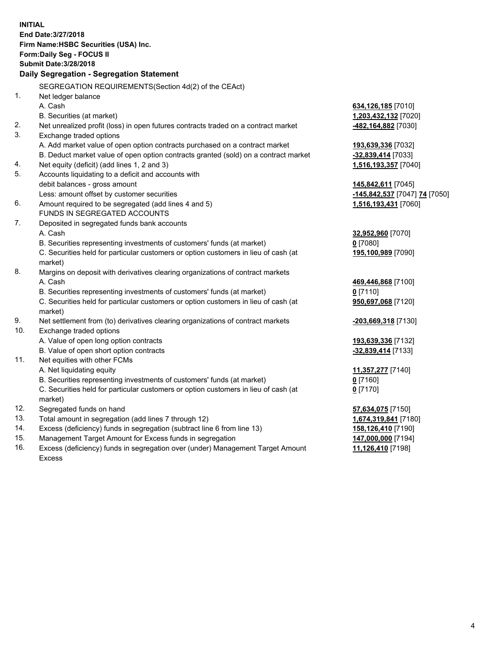| <b>INITIAL</b>                            | End Date: 3/27/2018                                                                            |                               |  |  |  |  |
|-------------------------------------------|------------------------------------------------------------------------------------------------|-------------------------------|--|--|--|--|
| Firm Name: HSBC Securities (USA) Inc.     |                                                                                                |                               |  |  |  |  |
|                                           | Form: Daily Seg - FOCUS II                                                                     |                               |  |  |  |  |
|                                           | <b>Submit Date: 3/28/2018</b>                                                                  |                               |  |  |  |  |
| Daily Segregation - Segregation Statement |                                                                                                |                               |  |  |  |  |
|                                           | SEGREGATION REQUIREMENTS(Section 4d(2) of the CEAct)                                           |                               |  |  |  |  |
| 1.                                        | Net ledger balance                                                                             |                               |  |  |  |  |
|                                           | A. Cash                                                                                        | 634,126,185 [7010]            |  |  |  |  |
|                                           | B. Securities (at market)                                                                      | 1,203,432,132 [7020]          |  |  |  |  |
| 2.                                        | Net unrealized profit (loss) in open futures contracts traded on a contract market             | 482,164,882 [7030]            |  |  |  |  |
| 3.                                        | Exchange traded options                                                                        |                               |  |  |  |  |
|                                           | A. Add market value of open option contracts purchased on a contract market                    | 193,639,336 [7032]            |  |  |  |  |
|                                           | B. Deduct market value of open option contracts granted (sold) on a contract market            | -32,839,414 [7033]            |  |  |  |  |
| 4.                                        | Net equity (deficit) (add lines 1, 2 and 3)                                                    | 1,516,193,357 [7040]          |  |  |  |  |
| 5.                                        | Accounts liquidating to a deficit and accounts with                                            |                               |  |  |  |  |
|                                           | debit balances - gross amount                                                                  | 145,842,611 [7045]            |  |  |  |  |
|                                           | Less: amount offset by customer securities                                                     | -145,842,537 [7047] 74 [7050] |  |  |  |  |
| 6.                                        | Amount required to be segregated (add lines 4 and 5)                                           | 1,516,193,431 [7060]          |  |  |  |  |
|                                           | FUNDS IN SEGREGATED ACCOUNTS                                                                   |                               |  |  |  |  |
| 7.                                        | Deposited in segregated funds bank accounts                                                    |                               |  |  |  |  |
|                                           | A. Cash                                                                                        | 32,952,960 [7070]             |  |  |  |  |
|                                           | B. Securities representing investments of customers' funds (at market)                         | $0$ [7080]                    |  |  |  |  |
|                                           | C. Securities held for particular customers or option customers in lieu of cash (at<br>market) | 195,100,989 [7090]            |  |  |  |  |
| 8.                                        | Margins on deposit with derivatives clearing organizations of contract markets                 |                               |  |  |  |  |
|                                           | A. Cash                                                                                        | 469,446,868 [7100]            |  |  |  |  |
|                                           | B. Securities representing investments of customers' funds (at market)                         | $0$ [7110]                    |  |  |  |  |
|                                           | C. Securities held for particular customers or option customers in lieu of cash (at            | 950,697,068 [7120]            |  |  |  |  |
|                                           | market)                                                                                        |                               |  |  |  |  |
| 9.                                        | Net settlement from (to) derivatives clearing organizations of contract markets                | -203,669,318 [7130]           |  |  |  |  |
| 10.                                       | Exchange traded options                                                                        |                               |  |  |  |  |
|                                           | A. Value of open long option contracts                                                         | 193,639,336 [7132]            |  |  |  |  |
|                                           | B. Value of open short option contracts                                                        | -32,839,414 [7133]            |  |  |  |  |
| 11.                                       | Net equities with other FCMs                                                                   |                               |  |  |  |  |
|                                           | A. Net liquidating equity                                                                      | 11,357,277 [7140]             |  |  |  |  |
|                                           | B. Securities representing investments of customers' funds (at market)                         | 0 [7160]                      |  |  |  |  |
|                                           | C. Securities held for particular customers or option customers in lieu of cash (at            | $0$ [7170]                    |  |  |  |  |
|                                           | market)                                                                                        |                               |  |  |  |  |
| 12.                                       | Segregated funds on hand                                                                       | 57,634,075 [7150]             |  |  |  |  |
| 13.                                       | Total amount in segregation (add lines 7 through 12)                                           | 1,674,319,841 [7180]          |  |  |  |  |
| 14.                                       | Excess (deficiency) funds in segregation (subtract line 6 from line 13)                        | 158,126,410 [7190]            |  |  |  |  |
| 15.                                       | Management Target Amount for Excess funds in segregation                                       | 147,000,000 [7194]            |  |  |  |  |

16. Excess (deficiency) funds in segregation over (under) Management Target Amount Excess

**11,126,410** [7198]